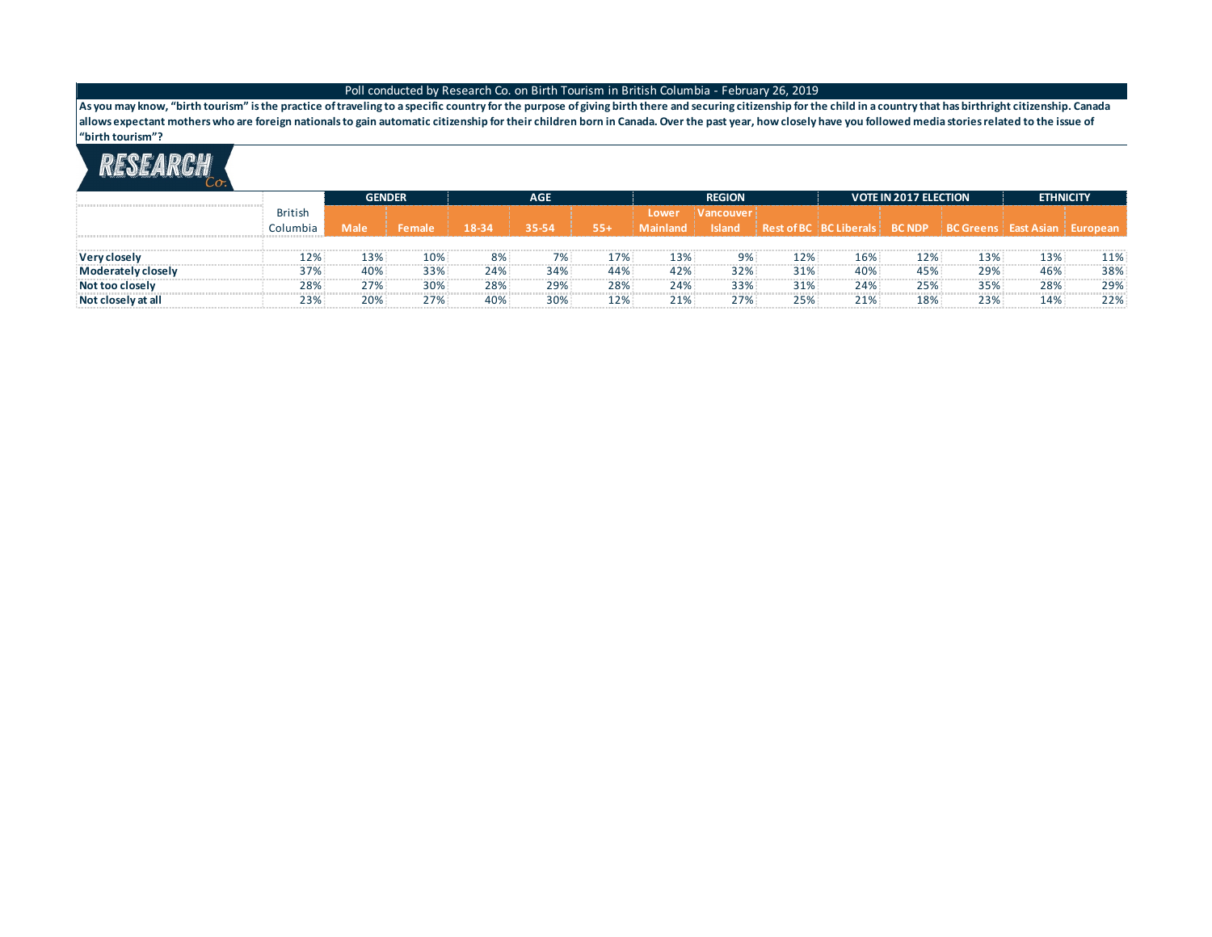**As you may know, "birth tourism" is the practice of traveling to a specific country for the purpose of giving birth there and securing citizenship for the child in a country that has birthright citizenship. Canada allows expectant mothers who are foreign nationals to gain automatic citizenship for their children born in Canada. Over the past year, how closely have you followed media stories related to the issue of "birth tourism"?**

|                      |                | GENDER      |               |       | <b>AGE</b> |       |                 | <b>REGION</b>    |        |                                                                       | <b>VOTE IN 2017 ELECTION</b> | <b>ETHNICITY</b> |     |     |
|----------------------|----------------|-------------|---------------|-------|------------|-------|-----------------|------------------|--------|-----------------------------------------------------------------------|------------------------------|------------------|-----|-----|
|                      | <b>British</b> |             |               |       |            |       | Lower           | <b>Nancouver</b> |        |                                                                       |                              |                  |     |     |
|                      | Columbia       | <b>Male</b> | <b>Female</b> | 18-34 | 35-54      | $55+$ | <b>Mainland</b> | <b>Island</b>    |        | Rest of BC   BC Liberals   BC NDP   BC Greens   East Asian   European |                              |                  |     |     |
|                      |                |             |               |       |            |       |                 |                  |        |                                                                       |                              |                  |     |     |
| Very closely         | 12%            | 13%         | 10%           | 8%    | 7%         | 17%   | 13%             | 9%               | 12%    | 16%                                                                   | 12%                          | 13%              | 13% | 11% |
| Moderately closely   | 37%            | 40%         | 33%           | 24%   | 34%        | 44%   | 42%             | 32%              | 31%    | 40%                                                                   | 45%                          | 29%              | 46% | 38% |
| Not too closelv      | 28%            | 27%         | 30%           | 28%   | 29%        | 28%   | 24%             | 33%              | $31\%$ | 24%                                                                   | 25%                          | 35%              | 28% | 29% |
| : Not closelv at all | 23%            | 20%         | 77%           | 40%   | 30%        | 12%   | 21%             | 77%              | 25%    | 21%                                                                   | 18%                          | 23%              | 14% | 22% |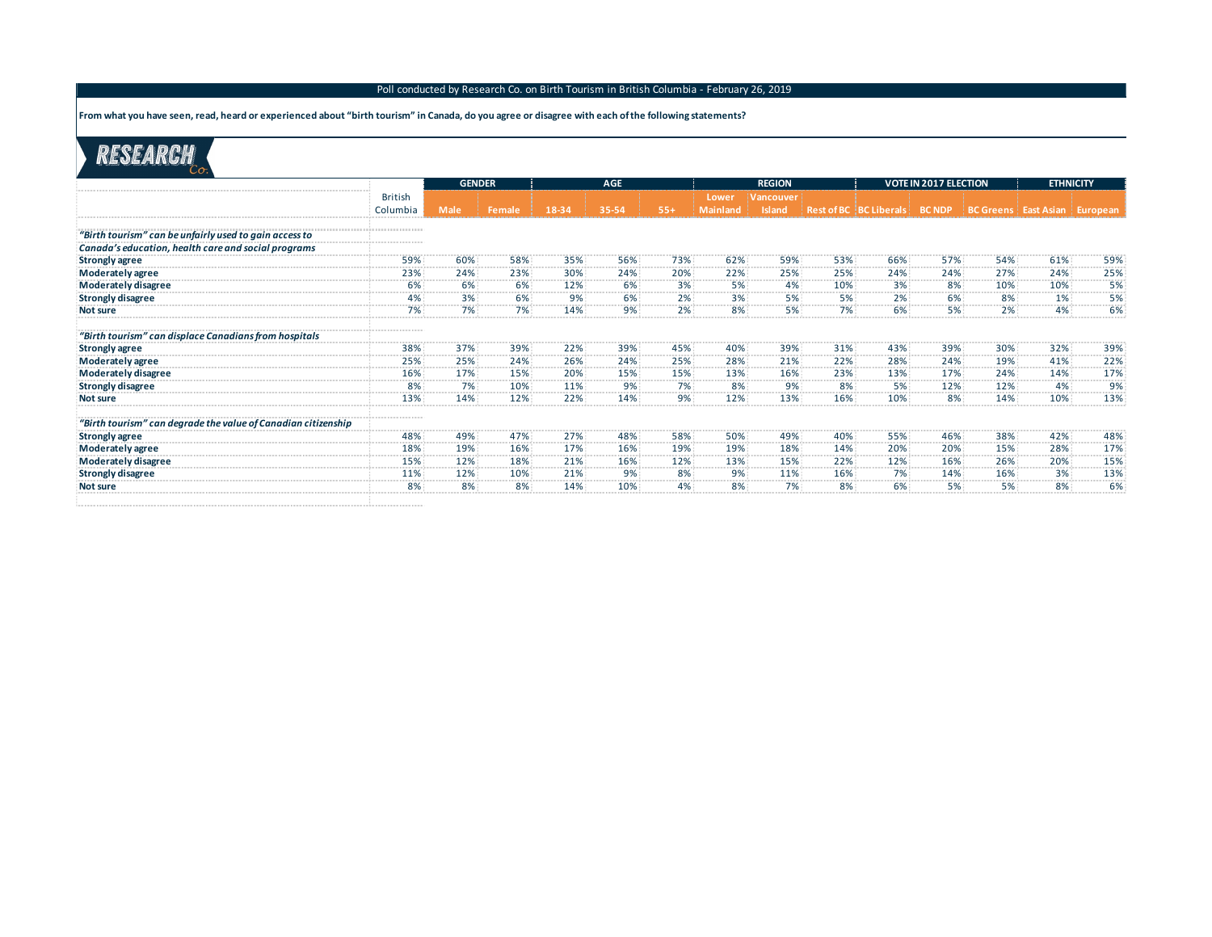**From what you have seen, read, heard or experienced about "birth tourism" in Canada, do you agree or disagree with each of the following statements?**

|                                                               |                | <b>GENDER</b> |                              |                                                  | <b>AGE</b>                        |          |          | <b>REGION</b>           |                              |                                   | <b>VOTE IN 2017 ELECTION</b> |                                   | <b>ETHNICITY</b> |                                                 |
|---------------------------------------------------------------|----------------|---------------|------------------------------|--------------------------------------------------|-----------------------------------|----------|----------|-------------------------|------------------------------|-----------------------------------|------------------------------|-----------------------------------|------------------|-------------------------------------------------|
|                                                               | <b>British</b> |               |                              |                                                  |                                   |          | Lower    | <b>Vancouver</b>        |                              |                                   |                              |                                   |                  |                                                 |
|                                                               | Columbia       | <b>Male</b>   | Female                       | 18-34                                            | 35-54                             | $55+$    | Mainland | <b>Island</b>           |                              | Rest of BC   BC Liberals   BC NDP |                              | BC Greens   East Asian   European |                  |                                                 |
|                                                               |                |               |                              |                                                  |                                   |          |          |                         |                              |                                   |                              |                                   |                  |                                                 |
| "Birth tourism" can be unfairly used to gain access to        |                |               |                              |                                                  |                                   |          |          |                         |                              |                                   |                              |                                   |                  |                                                 |
| Canada's education, health care and social programs           |                |               |                              |                                                  |                                   |          |          |                         |                              |                                   |                              |                                   |                  |                                                 |
| <b>Strongly agree</b>                                         | 59%            | 60%           | 58%                          | 35%                                              | 56%                               | 73%      | 62%      | 59%                     | 53%                          | 66%                               | 57%                          | 54%                               | 61%              | 59%                                             |
| Moderately agree                                              | 23%            | 24%<br>. 7    | 23%<br>.                     | 30%<br>.                                         | 24%<br>-------- <del>-</del> ---- | 20%<br>. | 22%<br>. | 25%<br>. <sup>1</sup> . | 25%<br>------- <i>-</i> ---- | 24%<br>and a series for a series  | 24%<br>.                     | 27%<br>.                          | 24%<br>. 7       | 25%                                             |
| Moderately disagree                                           | 6%<br>. 3 .    | .             | 6%<br>.                      | 12%<br>.                                         | 6%<br>والمتمر والمتراوين          | 3%       | 5%       |                         | 10%                          | 3%                                | 8%                           | 10%                               | 10%<br>. 7       | 5%                                              |
| <b>Strongly disagree</b>                                      | 4%             | 3%            | 6%                           | 9%                                               | 6%                                | 2%       | 3%       | 5%                      | 5%                           | 2%                                | 6%                           | 8%                                | 1%               | 5%                                              |
| <b>Not sure</b>                                               |                |               |                              | 14%                                              |                                   | 2%       |          |                         |                              |                                   | 5%                           | 2%                                | 4%               |                                                 |
| "Birth tourism" can displace Canadians from hospitals         |                |               |                              |                                                  |                                   |          |          |                         |                              |                                   |                              |                                   |                  |                                                 |
| <b>Strongly agree</b>                                         | 38%            | 37%<br>.      | 39%<br>----------            | 22%                                              | 39%                               | 45%      | 40%      | 39%                     | 31%                          | 43%                               | 39%                          | 30%                               | 32%              | 39%                                             |
| Moderately agree                                              | 25%            | 25%           | 24%                          | 26%                                              | 24%                               | 25%      | 28%      | 21%                     | 22%                          | 28%                               | 24%                          | 19%                               | 41%              | 22%                                             |
| Moderately disagree                                           | 16%            | .<br>17%      | <b>SALES AND REAL</b><br>15% | .<br>20%                                         | .<br>15%                          | 15%      | 13%      | 16%                     | 23%                          | .<br>13%                          | .<br>17%                     | .<br>24%                          | 14%              | 17%                                             |
| <b>Strongly disagree</b>                                      | 8%             | .<br>7%       | .<br>10%                     | <b><i><u><b>ALCOHOL: 1999</b></u></i></b><br>11% | .<br>9%                           | .<br>7%  | .<br>8%  | <b>.</b><br>9%          | .<br>8%                      | 5%                                | .<br>12%                     | 12%                               | 4%               | <b><i><u><b>ALCOHOL: 1999</b></u></i></b><br>9% |
| Not sure                                                      | 13%            | 14%           | 12%                          | 22%                                              | 14%                               | 9%       | 12%      | 13%                     | 16%                          | 10%                               | 8%                           | 14%                               | 10%              | 13%                                             |
| "Birth tourism" can degrade the value of Canadian citizenship |                |               |                              |                                                  |                                   |          |          |                         |                              |                                   |                              |                                   |                  |                                                 |
| <b>Strongly agree</b>                                         | 48%            | 49%           | 47%                          | 27%                                              | 48%                               | 58%      | 50%      | 49%                     | 40%                          | 55%                               | 46%                          | 38%                               | 42%              | 48%                                             |
| Moderately agree                                              | 18%            | 19%           | 16%<br>.                     | 17%                                              | 16%                               | 19%      | 19%      | 18%                     | 14%                          | 20%                               | 20%                          | 15%                               | 28%              | 17%                                             |
| Moderately disagree                                           | 15%            | .<br>12%<br>. | 18%                          | 21%                                              | 16%                               |          | 13%      | 15%                     | 22%                          | 12%                               | 16%                          | 26%                               | 20%              | 15%<br><b><i><u><b>ALCOHOL</b></u></i></b>      |
| <b>Strongly disagree</b>                                      | 11%            | 12%<br>. 7    | 10%<br><b></b>               | 21%                                              | 9%                                | 8%       | 9%       | 11%                     | 16%                          | 7%                                | 14%                          | 16%<br>.                          | 3%<br>.          | 13%<br><b>CONTRACTOR</b>                        |
| <b>Not sure</b>                                               | <b></b>        |               | 8%                           | 14%                                              | 10%                               | 4%       |          | 7%                      | 8%                           |                                   | 5%                           | 5%                                | 8%               |                                                 |
|                                                               |                |               |                              |                                                  |                                   |          |          |                         |                              |                                   |                              |                                   |                  |                                                 |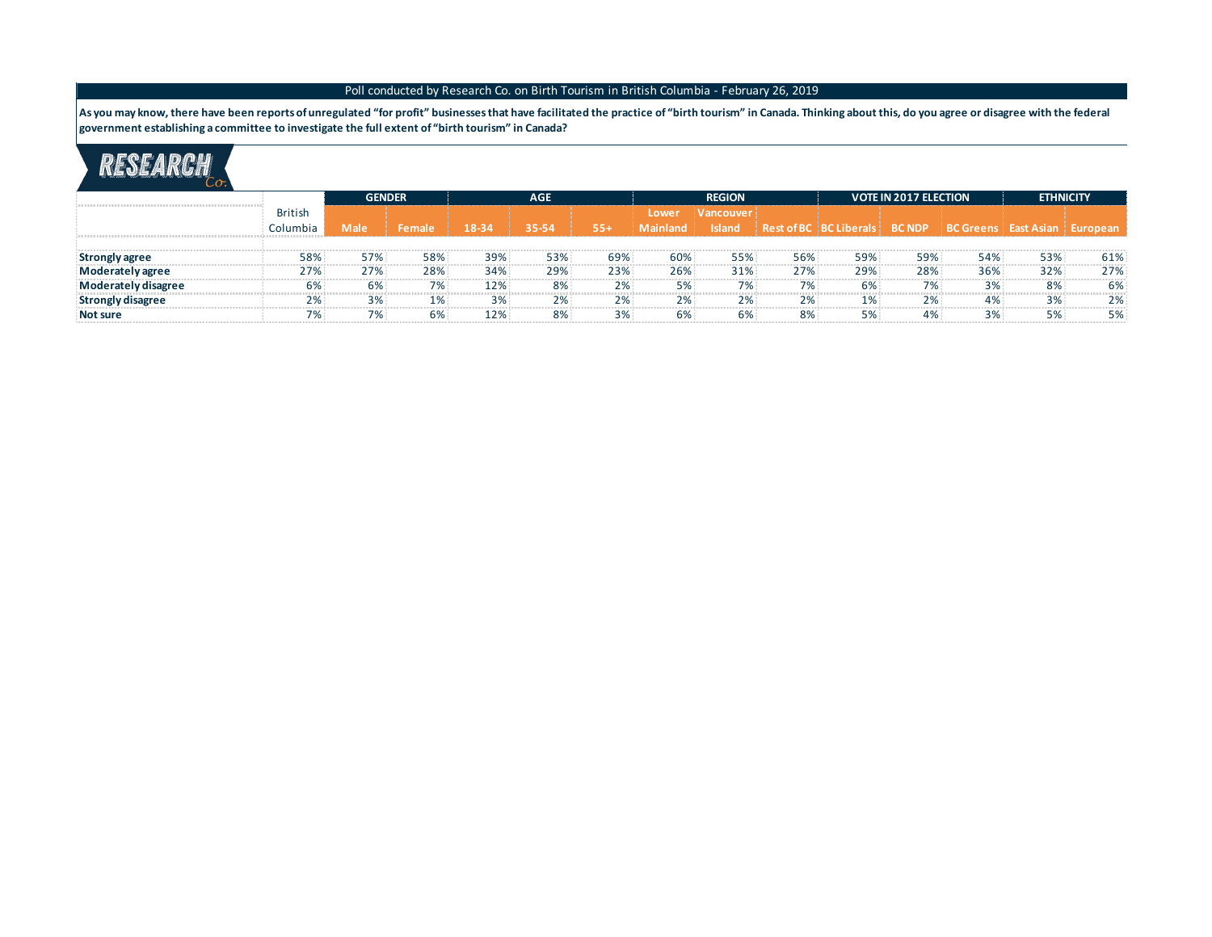As you may know, there have been reports of unregulated "for profit" businesses that have facilitated the practice of "birth tourism" in Canada. Thinking about this, do you agree or disagree with the federal **government establishing a committee to investigate the full extent of "birth tourism" in Canada?**

|                          |                | <b>GENDER</b> |        |       | <b>AGE</b> |       |          | <b>REGION</b> |       |                                                                                    | <b>VOTE IN 2017 ELECTION</b> | <b>ETHNICITY</b> |     |     |
|--------------------------|----------------|---------------|--------|-------|------------|-------|----------|---------------|-------|------------------------------------------------------------------------------------|------------------------------|------------------|-----|-----|
|                          | <b>British</b> |               |        |       |            |       | Lower    | i Vancouver   |       |                                                                                    |                              |                  |     |     |
|                          | Columbia       | <b>Male</b>   | Female | 18-34 | 35-54      | $55+$ | Mainland | <b>Island</b> |       | Rest of BC   BC Liberals   BC NDP   $\overline{BC}$ Greens   East Asian   European |                              |                  |     |     |
|                          |                |               |        |       |            |       |          |               |       |                                                                                    |                              |                  |     |     |
| : Strongly agree         | 58%            | 57%           | 58%    | 39%   | 53%        | 69%   | 60%      | 55%           | 56%   | 59%                                                                                | 59%                          | 54%              | 53% | 61% |
| Moderately agree         | 27%            | 27%           | 28%    | 34%   | 29%        | 23%   | 26%      | 31%           | 27%   | 29%                                                                                | 28%                          | 36%              | 32% | 27% |
| Moderately disagree      | 6%             | 6%            | 7%     | 12%   | 8%         | 2%    | 5%       | 7%            | $7\%$ | 6%                                                                                 | 7%                           | 3%               | 8%  | 6%  |
| <b>Strongly disagree</b> | 2%             | 3%            | 1%     | 3%    | 2%         | 2%    | 2%       | 2%            | 2%    | 1%                                                                                 | 2%                           | 4%               | 3%  |     |
| Not sure                 |                | 7%            | 6%     | 12%   | 8%         |       | 6%       | 6%            | 8%    | 5%                                                                                 | 4%                           |                  | 5%  | 5%  |